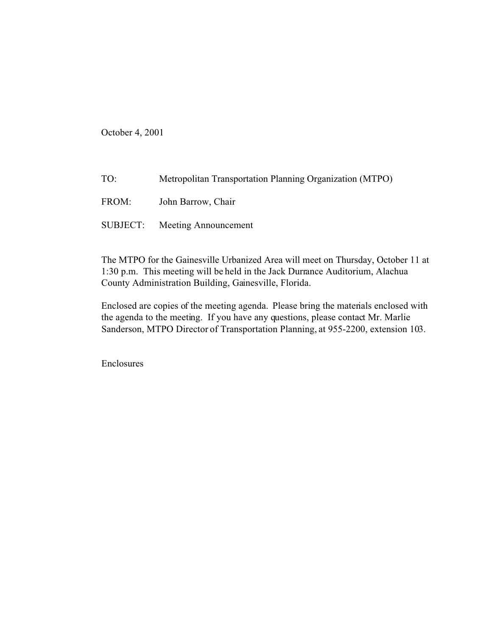October 4, 2001

| TO:      | Metropolitan Transportation Planning Organization (MTPO) |
|----------|----------------------------------------------------------|
| FROM:    | John Barrow, Chair                                       |
| SUBJECT: | <b>Meeting Announcement</b>                              |

The MTPO for the Gainesville Urbanized Area will meet on Thursday, October 11 at 1:30 p.m. This meeting will be held in the Jack Durrance Auditorium, Alachua County Administration Building, Gainesville, Florida.

Enclosed are copies of the meeting agenda. Please bring the materials enclosed with the agenda to the meeting. If you have any questions, please contact Mr. Marlie Sanderson, MTPO Director of Transportation Planning, at 955-2200, extension 103.

Enclosures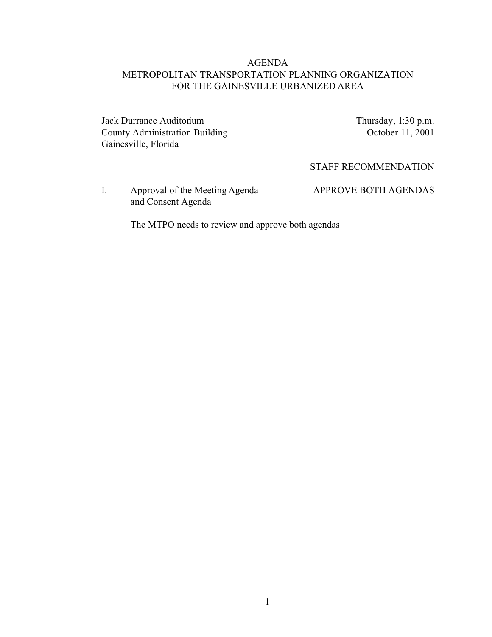# AGENDA METROPOLITAN TRANSPORTATION PLANNING ORGANIZATION FOR THE GAINESVILLE URBANIZED AREA

Jack Durrance Auditorium Thursday, 1:30 p.m. County Administration Building October 11, 2001 Gainesville, Florida

STAFF RECOMMENDATION

I. Approval of the Meeting Agenda APPROVE BOTH AGENDAS and Consent Agenda

The MTPO needs to review and approve both agendas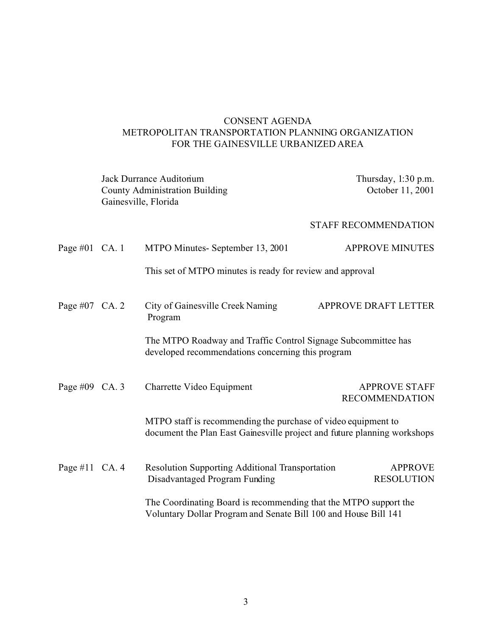# CONSENT AGENDA METROPOLITAN TRANSPORTATION PLANNING ORGANIZATION FOR THE GAINESVILLE URBANIZED AREA

|                 | Jack Durrance Auditorium<br><b>County Administration Building</b><br>Gainesville, Florida |                                                                                                                                           | Thursday, 1:30 p.m.<br>October 11, 2001       |  |
|-----------------|-------------------------------------------------------------------------------------------|-------------------------------------------------------------------------------------------------------------------------------------------|-----------------------------------------------|--|
|                 |                                                                                           |                                                                                                                                           | <b>STAFF RECOMMENDATION</b>                   |  |
| Page #01 $CA.1$ |                                                                                           | MTPO Minutes-September 13, 2001                                                                                                           | <b>APPROVE MINUTES</b>                        |  |
|                 |                                                                                           | This set of MTPO minutes is ready for review and approval                                                                                 |                                               |  |
| Page #07 CA. 2  |                                                                                           | City of Gainesville Creek Naming<br>Program                                                                                               | APPROVE DRAFT LETTER                          |  |
|                 |                                                                                           | The MTPO Roadway and Traffic Control Signage Subcommittee has<br>developed recommendations concerning this program                        |                                               |  |
| Page #09 CA. 3  |                                                                                           | Charrette Video Equipment                                                                                                                 | <b>APPROVE STAFF</b><br><b>RECOMMENDATION</b> |  |
|                 |                                                                                           | MTPO staff is recommending the purchase of video equipment to<br>document the Plan East Gainesville project and future planning workshops |                                               |  |
| Page #11 CA. 4  |                                                                                           | <b>Resolution Supporting Additional Transportation</b><br>Disadvantaged Program Funding                                                   | <b>APPROVE</b><br><b>RESOLUTION</b>           |  |
|                 |                                                                                           | The Coordinating Board is recommending that the MTPO support the<br>Voluntary Dollar Program and Senate Bill 100 and House Bill 141       |                                               |  |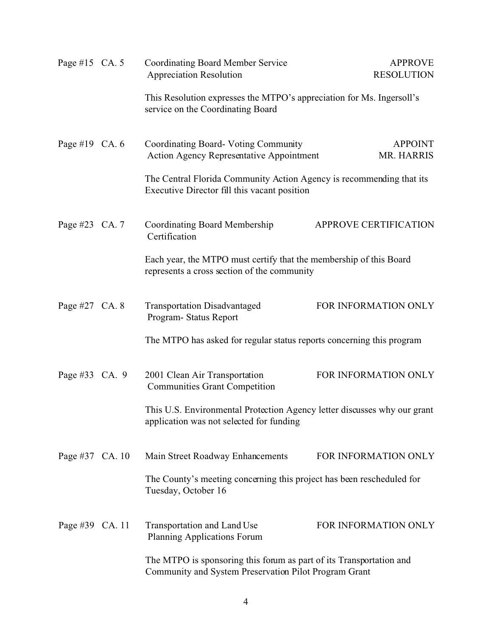| Page #15 CA. 5  |  | <b>Coordinating Board Member Service</b><br><b>Appreciation Resolution</b>                                                   | <b>APPROVE</b><br><b>RESOLUTION</b> |
|-----------------|--|------------------------------------------------------------------------------------------------------------------------------|-------------------------------------|
|                 |  | This Resolution expresses the MTPO's appreciation for Ms. Ingersoll's<br>service on the Coordinating Board                   |                                     |
| Page #19 CA. 6  |  | Coordinating Board-Voting Community<br><b>Action Agency Representative Appointment</b>                                       | <b>APPOINT</b><br>MR. HARRIS        |
|                 |  | The Central Florida Community Action Agency is recommending that its<br>Executive Director fill this vacant position         |                                     |
| Page #23 CA. 7  |  | <b>Coordinating Board Membership</b><br>Certification                                                                        | APPROVE CERTIFICATION               |
|                 |  | Each year, the MTPO must certify that the membership of this Board<br>represents a cross section of the community            |                                     |
| Page #27 CA. 8  |  | <b>Transportation Disadvantaged</b><br>Program-Status Report                                                                 | FOR INFORMATION ONLY                |
|                 |  | The MTPO has asked for regular status reports concerning this program                                                        |                                     |
| Page #33 CA. 9  |  | 2001 Clean Air Transportation<br><b>Communities Grant Competition</b>                                                        | FOR INFORMATION ONLY                |
|                 |  | This U.S. Environmental Protection Agency letter discusses why our grant<br>application was not selected for funding         |                                     |
| Page #37 CA. 10 |  | Main Street Roadway Enhancements                                                                                             | FOR INFORMATION ONLY                |
|                 |  | The County's meeting concerning this project has been rescheduled for<br>Tuesday, October 16                                 |                                     |
| Page #39 CA. 11 |  | Transportation and Land Use<br><b>Planning Applications Forum</b>                                                            | FOR INFORMATION ONLY                |
|                 |  | The MTPO is sponsoring this forum as part of its Transportation and<br>Community and System Preservation Pilot Program Grant |                                     |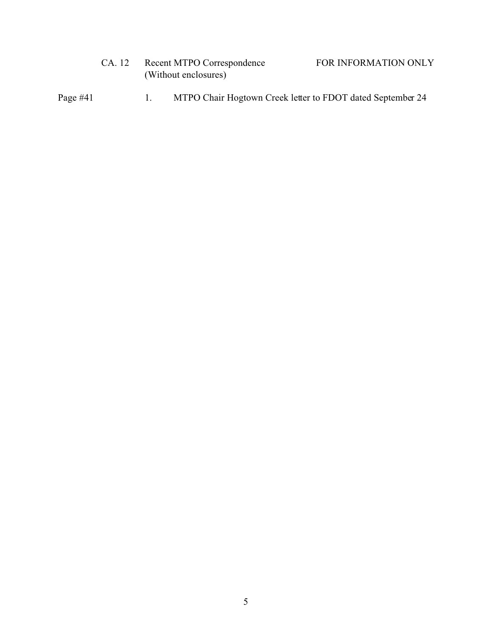| CA. 12               | Recent MTPO Correspondence | FOR INFORMATION ONLY |
|----------------------|----------------------------|----------------------|
| (Without enclosures) |                            |                      |

Page #41 1. MTPO Chair Hogtown Creek letter to FDOT dated September 24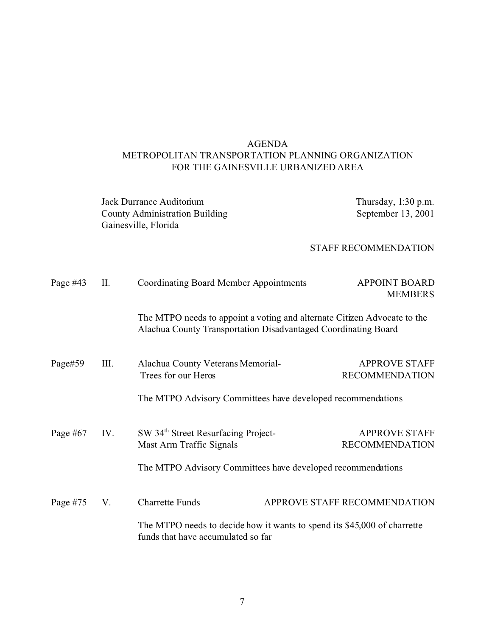# AGENDA METROPOLITAN TRANSPORTATION PLANNING ORGANIZATION FOR THE GAINESVILLE URBANIZED AREA

Jack Durrance Auditorium Thursday, 1:30 p.m.<br>
County Administration Building September 13, 2001 County Administration Building Gainesville, Florida

### STAFF RECOMMENDATION

| Page $#43$ | П.  | <b>Coordinating Board Member Appointments</b>                                                                                              |                              | <b>APPOINT BOARD</b><br><b>MEMBERS</b>        |
|------------|-----|--------------------------------------------------------------------------------------------------------------------------------------------|------------------------------|-----------------------------------------------|
|            |     | The MTPO needs to appoint a voting and alternate Citizen Advocate to the<br>Alachua County Transportation Disadvantaged Coordinating Board |                              |                                               |
| Page#59    | Ш.  | Alachua County Veterans Memorial-<br>Trees for our Heros<br>The MTPO Advisory Committees have developed recommendations                    |                              | <b>APPROVE STAFF</b><br><b>RECOMMENDATION</b> |
| Page $#67$ | IV. | SW 34 <sup>th</sup> Street Resurfacing Project-<br>Mast Arm Traffic Signals<br>The MTPO Advisory Committees have developed recommendations |                              | <b>APPROVE STAFF</b><br><b>RECOMMENDATION</b> |
| Page $#75$ | V.  | <b>Charrette Funds</b><br>The MTPO needs to decide how it wants to spend its \$45,000 of charrette<br>funds that have accumulated so far   | APPROVE STAFF RECOMMENDATION |                                               |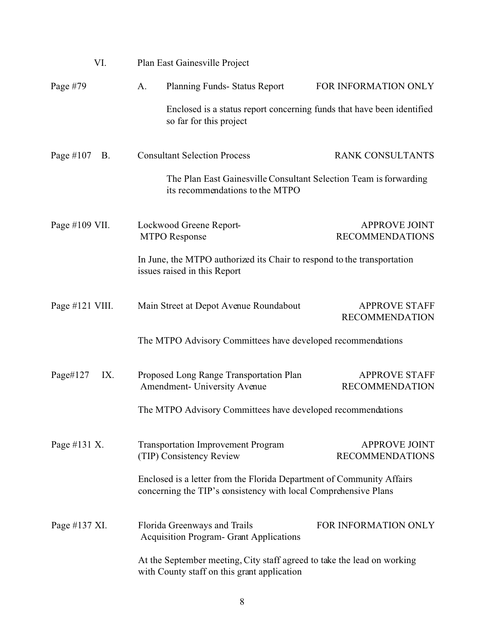| VI.                       | Plan East Gainesville Project                                                                                                            |                                                                         |
|---------------------------|------------------------------------------------------------------------------------------------------------------------------------------|-------------------------------------------------------------------------|
| Page #79                  | A.<br>Planning Funds-Status Report                                                                                                       | FOR INFORMATION ONLY                                                    |
|                           | so far for this project                                                                                                                  | Enclosed is a status report concerning funds that have been identified  |
| Page $\#107$<br><b>B.</b> | <b>Consultant Selection Process</b>                                                                                                      | <b>RANK CONSULTANTS</b>                                                 |
|                           | its recommendations to the MTPO                                                                                                          | The Plan East Gainesville Consultant Selection Team is forwarding       |
| Page #109 VII.            | Lockwood Greene Report-<br><b>MTPO</b> Response                                                                                          | <b>APPROVE JOINT</b><br><b>RECOMMENDATIONS</b>                          |
|                           | In June, the MTPO authorized its Chair to respond to the transportation<br>issues raised in this Report                                  |                                                                         |
| Page #121 VIII.           | Main Street at Depot Avenue Roundabout                                                                                                   | <b>APPROVE STAFF</b><br><b>RECOMMENDATION</b>                           |
|                           | The MTPO Advisory Committees have developed recommendations                                                                              |                                                                         |
| Page#127<br>IX.           | Proposed Long Range Transportation Plan<br>Amendment- University Avenue                                                                  | <b>APPROVE STAFF</b><br><b>RECOMMENDATION</b>                           |
|                           | The MTPO Advisory Committees have developed recommendations                                                                              |                                                                         |
| Page #131 X.              | <b>Transportation Improvement Program</b><br>(TIP) Consistency Review                                                                    | <b>APPROVE JOINT</b><br><b>RECOMMENDATIONS</b>                          |
|                           | Enclosed is a letter from the Florida Department of Community Affairs<br>concerning the TIP's consistency with local Comprehensive Plans |                                                                         |
| Page #137 XI.             | Florida Greenways and Trails<br><b>Acquisition Program- Grant Applications</b>                                                           | FOR INFORMATION ONLY                                                    |
|                           | with County staff on this grant application                                                                                              | At the September meeting, City staff agreed to take the lead on working |